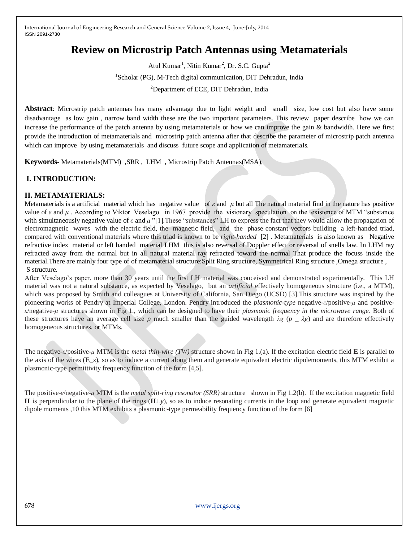# **Review on Microstrip Patch Antennas using Metamaterials**

Atul Kumar<sup>1</sup>, Nitin Kumar<sup>2</sup>, Dr. S.C. Gupta<sup>2</sup> <sup>1</sup>Scholar (PG), M-Tech digital communication, DIT Dehradun, India <sup>2</sup>Department of ECE, DIT Dehradun, India

**Abstract**: Microstrip patch antennas has many advantage due to light weight and small size, low cost but also have some disadvantage as low gain , narrow band width these are the two important parameters. This review paper describe how we can increase the performance of the patch antenna by using metamaterials or how we can improve the gain & bandwidth. Here we first provide the introduction of metamaterials and microstrip patch antenna after that describe the parameter of microstrip patch antenna which can improve by using metamaterials and discuss future scope and application of metamaterials.

**Keywords**- Metamaterials(MTM) ,SRR , LHM , Microstrip Patch Antennas(MSA),

#### **I. INTRODUCTION:**

#### **II. METAMATERIALS:**

Metamaterials is a artificial material which has negative value of *ε* and *μ* but all The natural material find in the nature has positive value of *ε* and *μ* . According to Viktor Veselago in 1967 provide the visionary speculation on the existence of MTM "substance with simultaneously negative value of  $\varepsilon$  and  $\mu$  "[1]. These "substances" LH to express the fact that they would allow the propagation of electromagnetic waves with the electric field, the magnetic field, and the phase constant vectors building a left-handed triad, compared with conventional materials where this triad is known to be *right-handed* [2] . Metamaterials is also known as Negative refractive index material or left handed material LHM this is also reversal of Doppler effect or reversal of snells law. In LHM ray refracted away from the normal but in all natural material ray refracted toward the normal That produce the focuss inside the material.There are mainly four type of of metamaterial structure:Split Ring structure, Symmetrical Ring structure, Omega structure , S structure.

After Veselago's paper, more than 30 years until the first LH material was conceived and demonstrated experimentally. This LH material was not a natural substance, as expected by Veselago, but an *artificial* effectively homogeneous structure (i.e., a MTM), which was proposed by Smith and colleagues at University of California, San Diego (UCSD) [3].This structure was inspired by the pioneering works of Pendry at Imperial College, London. Pendry introduced the *plasmonic-type* negative-*ε*/positive-*μ* and positive*ε*/negative-*μ* structures shown in Fig 1., which can be designed to have their *plasmonic frequency in the microwave range*. Both of these structures have an average cell size *p* much smaller than the guided wavelength  $\lambda g$  ( $p \Delta g$ ) and are therefore effectively homogeneous structures, or MTMs.

The negative-*ε*/positive-*μ* MTM is the *metal thin-wire (TW)* structure shown in Fig 1.(a). If the excitation electric field **E** is parallel to the axis of the wires (**E**\_*z*), so as to induce a current along them and generate equivalent electric dipolemoments, this MTM exhibit a plasmonic-type permittivity frequency function of the form [4,5].

The positive-*ε*/negative-*μ* MTM is the *metal split-ring resonator (SRR)* structure shown in Fig 1.2(b). If the excitation magnetic field **H** is perpendicular to the plane of the rings (**H**⊥*y*), so as to induce resonating currents in the loop and generate equivalent magnetic dipole moments ,10 this MTM exhibits a plasmonic-type permeability frequency function of the form [6]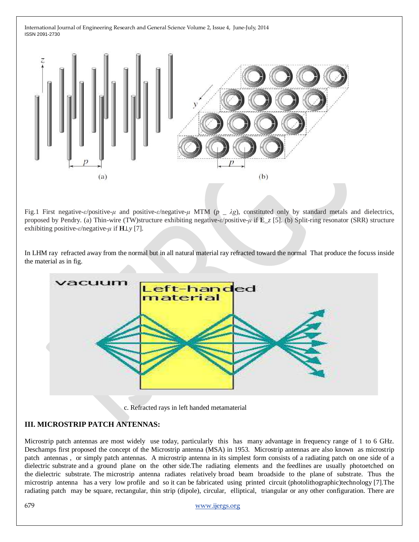

Fig.1 First negative-*ε*/positive-*μ* and positive-*ε*/negative-*μ* MTM (*p* \_ *λg*), constituted only by standard metals and dielectrics, proposed by Pendry. (a) Thin-wire (TW)structure exhibiting negative-*ε*/positive-*μ* if **E**\_*z* [5]. (b) Split-ring resonator (SRR) structure exhibiting positive-*ε*/negative-*μ* if **H**⊥*y* [7].

In LHM ray refracted away from the normal but in all natural material ray refracted toward the normal That produce the focuss inside the material as in fig.



# **III. MICROSTRIP PATCH ANTENNAS:**

Microstrip patch antennas are most widely use today, particularly this has many advantage in frequency range of 1 to 6 GHz. Deschamps first proposed the concept of the Microstrip antenna (MSA) in 1953. Microstrip antennas are also known as microstrip patch antennas , or simply patch antennas. A microstrip antenna in its simplest form consists of a radiating patch on one side of a dielectric substrate and a ground plane on the other side.The radiating elements and the feedlines are usually photoetched on the dielectric substrate. The microstrip antenna radiates relatively broad beam broadside to the plane of substrate. Thus the microstrip antenna has a very low profile and so it can be fabricated using printed circuit (photolithographic)technology [7].The radiating patch may be square, rectangular, thin strip (dipole), circular, elliptical, triangular or any other configuration. There are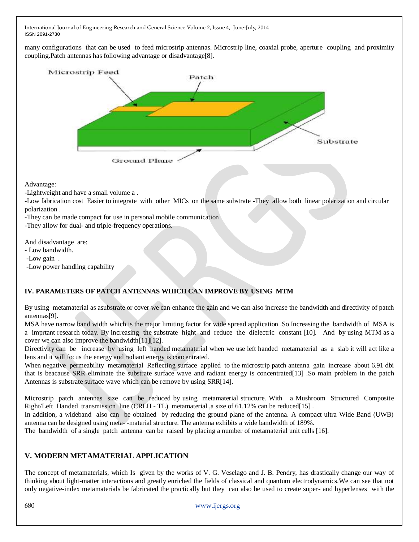many configurations that can be used to feed microstrip antennas. Microstrip line, coaxial probe, aperture coupling and proximity coupling.Patch antennas has following advantage or disadvantage[8].



Advantage:

-Lightweight and have a small volume a .

-Low fabrication cost Easier to integrate with other MICs on the same substrate -They allow both linear polarization and circular polarization .

-They can be made compact for use in personal mobile communication

-They allow for dual- and triple-frequency operations.

And disadvantage are:

- Low bandwidth.
- -Low gain .
- -Low power handling capability

## **IV. PARAMETERS OF PATCH ANTENNAS WHICH CAN IMPROVE BY USING MTM**

By using metamaterial as asubstrate or cover we can enhance the gain and we can also increase the bandwidth and directivity of patch antennas[9].

MSA have narrow band width which is the major limiting factor for wide spread application .So Increasing the bandwidth of MSA is a imprtant research today. By increasing the substrate hight and reduce the dielectric constant [10]. And by using MTM as a cover we can also improve the bandwidth[11][12].

Directivity can be increase by using left handed metamaterial when we use left handed metamaterial as a slab it will act like a lens and it will focus the energy and radiant energy is concentrated.

When negative permeability metamaterial Reflecting surface applied to the microstrip patch antenna gain increase about 6.91 dbi that is beacause SRR eliminate the substrate surface wave and radiant energy is concentrated[13] .So main problem in the patch Antennas is substrate surface wave which can be remove by using SRR[14].

Microstrip patch antennas size can be reduced by using metamaterial structure. With a Mushroom Structured Composite Right/Left Handed transmission line (CRLH - TL) metamaterial ,a size of 61.12% can be reduced [15].

In addition, a wideband also can be obtained by reducing the ground plane of the antenna. A compact ultra Wide Band (UWB) antenna can be designed using meta- -material structure. The antenna exhibits a wide bandwidth of 189%.

The bandwidth of a single patch antenna can be raised by placing a number of metamaterial unit cells [16].

#### **V. MODERN METAMATERIAL APPLICATION**

The concept of metamaterials, which Is given by the works of V. G. Veselago and J. B. Pendry, has drastically change our way of thinking about light-matter interactions and greatly enriched the fields of classical and quantum electrodynamics.We can see that not only negative-index metamaterials be fabricated the practically but they can also be used to create super- and hyperlenses with the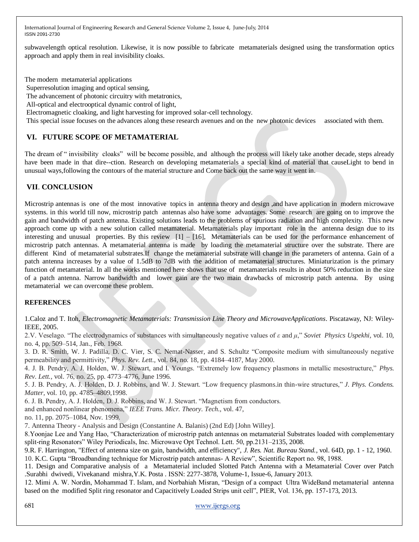subwavelength optical resolution. Likewise, it is now possible to fabricate metamaterials designed using the transformation optics approach and apply them in real invisibility cloaks.

The modern metamaterial applications Superresolution imaging and optical sensing,

The advancement of photonic circuitry with metatronics,

All-optical and electrooptical dynamic control of light,

Electromagnetic cloaking, and light harvesting for improved solar-cell technology.

This special issue focuses on the advances along these research avenues and on the new photonic devices associated with them.

## **VI. FUTURE SCOPE OF METAMATERIAL**

The dream of " invisibility cloaks" will be become possible, and although the process will likely take another decade, steps already have been made in that dire--ction. Research on developing metamaterials a special kind of material that causeLight to bend in unusual ways,following the contours of the material structure and Come back out the same way it went in.

# **VII**. **CONCLUSION**

Microstrip antennas is one of the most innovative topics in antenna theory and design ,and have application in modern microwave systems. in this world till now, microstrip patch antennas also have some advantages. Some research are going on to improve the gain and bandwidth of patch antenna. Existing solutions leads to the problems of spurious radiation and high complexity. This new approach come up with a new solution called metamaterial. Metamaterials play important role in the antenna design due to its interesting and unusual properties. By this review [1] – [16], Metamaterials can be used for the performance enhancement of microstrip patch antennas. A metamaterial antenna is made by loading the metamaterial structure over the substrate. There are different Kind of metamaterial substrates.If change the metamaterial substrate will change in the parameters of antenna. Gain of a patch antenna increases by a value of 1.5dB to 7dB with the addition of metamaterial structures. Miniaturization is the primary function of metamaterial. In all the works mentioned here shows that use of metamaterials results in about 50% reduction in the size of a patch antenna. Narrow bandwidth and lower gain are the two main drawbacks of microstrip patch antenna. By using metamaterial we can overcome these problem.

#### **REFERENCES**

1.Caloz and T. Itoh*, Electromagnetic Metamaterials: Transmission Line Theory and MicrowaveApplications*. Piscataway, NJ: Wiley-IEEE, 2005.

2.V. Veselago. "The electrodynamics of substances with simultaneously negative values of *ε* and *μ*," *Soviet Physics Uspekhi,* vol. 10, no. 4, pp. 509–514, Jan., Feb. 1968.

3. D. R. Smith, W. J. Padilla, D. C. Vier, S. C. Nemat-Nasser, and S. Schultz "Composite medium with simultaneously negative permeability and permittivity," *Phys. Rev. Lett.,* vol. 84, no. 18, pp. 4184–4187, May 2000.

4. J. B. Pendry, A. J. Holden, W. J. Stewart, and I. Youngs. "Extremely low frequency plasmons in metallic mesostructure," *Phys. Rev. Lett.,* vol. 76, no. 25, pp. 4773–4776, June 1996.

5. J. B. Pendry, A. J. Holden, D. J. Robbins, and W. J. Stewart. "Low frequency plasmons.in thin-wire structures," *J. Phys. Condens. Matter,* vol. 10, pp. 4785–4809,1998.

6. J. B. Pendry, A. J. Holden, D. J. Robbins, and W. J. Stewart. "Magnetism from conductors.

and enhanced nonlinear phenomena," *IEEE Trans. Micr. Theory. Tech.,* vol. 47,

no. 11, pp. 2075–1084, Nov. 1999.

7. Antenna Theory - Analysis and Design (Constantine A. Balanis) (2nd Ed) [John Willey].

8.Yoonjae Lee and Yang Hao, "Characterization of microstrip patch antennas on metamaterial Substrates loaded with complementary split-ring Resonators" Wiley Periodicals, Inc. Microwave Opt Technol. Lett. 50, pp.2131–2135, 2008.

9.R. F. Harrington, "Effect of antenna size on gain, bandwidth, and efficiency", *J. Res. Nat. Bureau Stand.*, vol. 64D, pp. 1 - 12, 1960. 10. K.C. Gupta "Broadbanding technique for Microstrip patch antennas- A Review", Scientific Report no. 98, 1988.

11. Design and Comparative analysis of a Metamaterial included Slotted Patch Antenna with a Metamaterial Cover over Patch .Surabhi dwivedi, Vivekanand mishra,Y.K. Posta . ISSN: 2277-3878, Volume-1, Issue-6, January 2013.

12. Mimi A. W. Nordin, Mohammad T. Islam, and Norbahiah Misran, "Design of a compact Ultra WideBand metamaterial antenna based on the modified Split ring resonator and Capacitively Loaded Strips unit cell", PIER, Vol. 136, pp. 157-173, 2013.